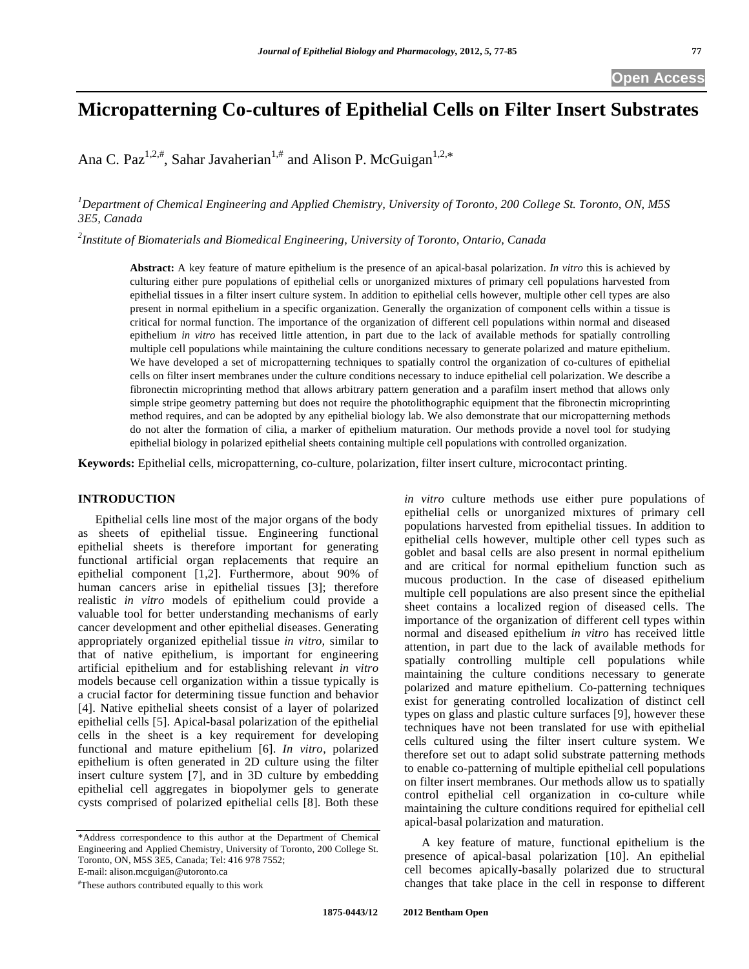# **Micropatterning Co-cultures of Epithelial Cells on Filter Insert Substrates**

Ana C. Paz<sup>1,2,#</sup>, Sahar Javaherian<sup>1,#</sup> and Alison P. McGuigan<sup>1,2,\*</sup>

*1 Department of Chemical Engineering and Applied Chemistry, University of Toronto, 200 College St. Toronto, ON, M5S 3E5, Canada* 

*2 Institute of Biomaterials and Biomedical Engineering, University of Toronto, Ontario, Canada* 

**Abstract:** A key feature of mature epithelium is the presence of an apical-basal polarization. *In vitro* this is achieved by culturing either pure populations of epithelial cells or unorganized mixtures of primary cell populations harvested from epithelial tissues in a filter insert culture system. In addition to epithelial cells however, multiple other cell types are also present in normal epithelium in a specific organization. Generally the organization of component cells within a tissue is critical for normal function. The importance of the organization of different cell populations within normal and diseased epithelium *in vitro* has received little attention, in part due to the lack of available methods for spatially controlling multiple cell populations while maintaining the culture conditions necessary to generate polarized and mature epithelium. We have developed a set of micropatterning techniques to spatially control the organization of co-cultures of epithelial cells on filter insert membranes under the culture conditions necessary to induce epithelial cell polarization. We describe a fibronectin microprinting method that allows arbitrary pattern generation and a parafilm insert method that allows only simple stripe geometry patterning but does not require the photolithographic equipment that the fibronectin microprinting method requires, and can be adopted by any epithelial biology lab. We also demonstrate that our micropatterning methods do not alter the formation of cilia, a marker of epithelium maturation. Our methods provide a novel tool for studying epithelial biology in polarized epithelial sheets containing multiple cell populations with controlled organization.

**Keywords:** Epithelial cells, micropatterning, co-culture, polarization, filter insert culture, microcontact printing.

# **INTRODUCTION**

 Epithelial cells line most of the major organs of the body as sheets of epithelial tissue. Engineering functional epithelial sheets is therefore important for generating functional artificial organ replacements that require an epithelial component [1,2]. Furthermore, about 90% of human cancers arise in epithelial tissues [3]; therefore realistic *in vitro* models of epithelium could provide a valuable tool for better understanding mechanisms of early cancer development and other epithelial diseases. Generating appropriately organized epithelial tissue *in vitro*, similar to that of native epithelium, is important for engineering artificial epithelium and for establishing relevant *in vitro* models because cell organization within a tissue typically is a crucial factor for determining tissue function and behavior [4]. Native epithelial sheets consist of a layer of polarized epithelial cells [5]. Apical-basal polarization of the epithelial cells in the sheet is a key requirement for developing functional and mature epithelium [6]. *In vitro*, polarized epithelium is often generated in 2D culture using the filter insert culture system [7], and in 3D culture by embedding epithelial cell aggregates in biopolymer gels to generate cysts comprised of polarized epithelial cells [8]. Both these

\*Address correspondence to this author at the Department of Chemical Engineering and Applied Chemistry, University of Toronto, 200 College St. Toronto, ON, M5S 3E5, Canada; Tel: 416 978 7552;

E-mail: alison.mcguigan@utoronto.ca

# These authors contributed equally to this work

*in vitro* culture methods use either pure populations of epithelial cells or unorganized mixtures of primary cell populations harvested from epithelial tissues. In addition to epithelial cells however, multiple other cell types such as goblet and basal cells are also present in normal epithelium and are critical for normal epithelium function such as mucous production. In the case of diseased epithelium multiple cell populations are also present since the epithelial sheet contains a localized region of diseased cells. The importance of the organization of different cell types within normal and diseased epithelium *in vitro* has received little attention, in part due to the lack of available methods for spatially controlling multiple cell populations while maintaining the culture conditions necessary to generate polarized and mature epithelium. Co-patterning techniques exist for generating controlled localization of distinct cell types on glass and plastic culture surfaces [9], however these techniques have not been translated for use with epithelial cells cultured using the filter insert culture system. We therefore set out to adapt solid substrate patterning methods to enable co-patterning of multiple epithelial cell populations on filter insert membranes. Our methods allow us to spatially control epithelial cell organization in co-culture while maintaining the culture conditions required for epithelial cell apical-basal polarization and maturation.

 A key feature of mature, functional epithelium is the presence of apical-basal polarization [10]. An epithelial cell becomes apically-basally polarized due to structural changes that take place in the cell in response to different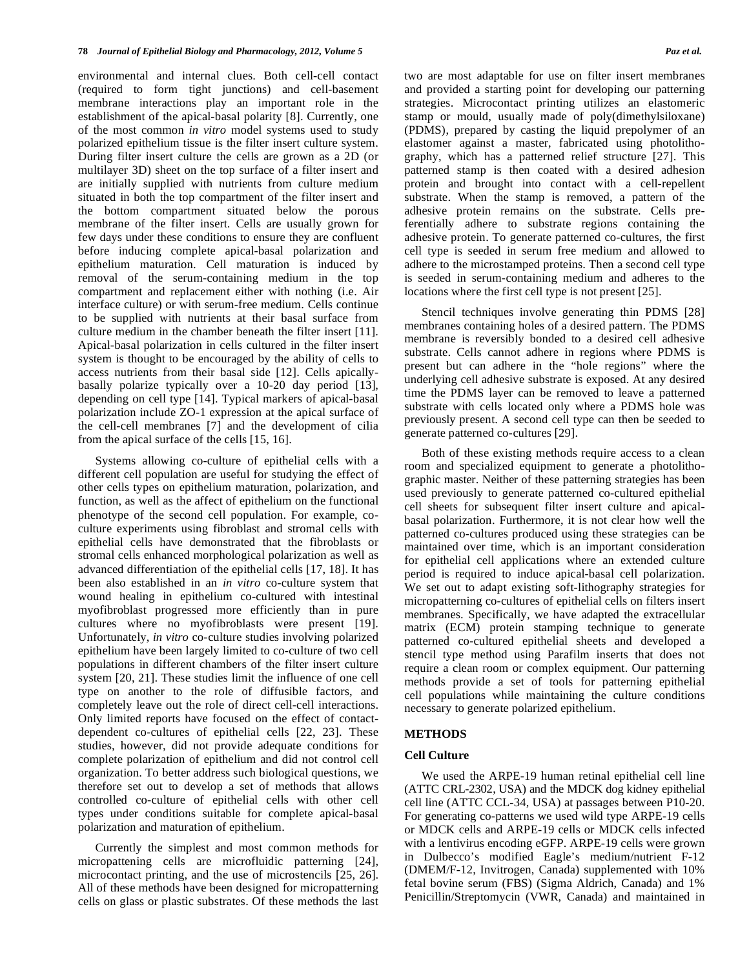environmental and internal clues. Both cell-cell contact (required to form tight junctions) and cell-basement membrane interactions play an important role in the establishment of the apical-basal polarity [8]. Currently, one of the most common *in vitro* model systems used to study polarized epithelium tissue is the filter insert culture system. During filter insert culture the cells are grown as a 2D (or multilayer 3D) sheet on the top surface of a filter insert and are initially supplied with nutrients from culture medium situated in both the top compartment of the filter insert and the bottom compartment situated below the porous membrane of the filter insert. Cells are usually grown for few days under these conditions to ensure they are confluent before inducing complete apical-basal polarization and epithelium maturation. Cell maturation is induced by removal of the serum-containing medium in the top compartment and replacement either with nothing (i.e. Air interface culture) or with serum-free medium. Cells continue to be supplied with nutrients at their basal surface from culture medium in the chamber beneath the filter insert [11]. Apical-basal polarization in cells cultured in the filter insert system is thought to be encouraged by the ability of cells to access nutrients from their basal side [12]. Cells apicallybasally polarize typically over a 10-20 day period [13], depending on cell type [14]. Typical markers of apical-basal polarization include ZO-1 expression at the apical surface of the cell-cell membranes [7] and the development of cilia from the apical surface of the cells [15, 16].

 Systems allowing co-culture of epithelial cells with a different cell population are useful for studying the effect of other cells types on epithelium maturation, polarization, and function, as well as the affect of epithelium on the functional phenotype of the second cell population. For example, coculture experiments using fibroblast and stromal cells with epithelial cells have demonstrated that the fibroblasts or stromal cells enhanced morphological polarization as well as advanced differentiation of the epithelial cells [17, 18]. It has been also established in an *in vitro* co-culture system that wound healing in epithelium co-cultured with intestinal myofibroblast progressed more efficiently than in pure cultures where no myofibroblasts were present [19]. Unfortunately, *in vitro* co-culture studies involving polarized epithelium have been largely limited to co-culture of two cell populations in different chambers of the filter insert culture system [20, 21]. These studies limit the influence of one cell type on another to the role of diffusible factors, and completely leave out the role of direct cell-cell interactions. Only limited reports have focused on the effect of contactdependent co-cultures of epithelial cells [22, 23]. These studies, however, did not provide adequate conditions for complete polarization of epithelium and did not control cell organization. To better address such biological questions, we therefore set out to develop a set of methods that allows controlled co-culture of epithelial cells with other cell types under conditions suitable for complete apical-basal polarization and maturation of epithelium.

 Currently the simplest and most common methods for micropattening cells are microfluidic patterning [24], microcontact printing, and the use of microstencils [25, 26]. All of these methods have been designed for micropatterning cells on glass or plastic substrates. Of these methods the last

two are most adaptable for use on filter insert membranes and provided a starting point for developing our patterning strategies. Microcontact printing utilizes an elastomeric stamp or mould, usually made of poly(dimethylsiloxane) (PDMS), prepared by casting the liquid prepolymer of an elastomer against a master, fabricated using photolithography, which has a patterned relief structure [27]. This patterned stamp is then coated with a desired adhesion protein and brought into contact with a cell-repellent substrate. When the stamp is removed, a pattern of the adhesive protein remains on the substrate. Cells preferentially adhere to substrate regions containing the adhesive protein. To generate patterned co-cultures, the first cell type is seeded in serum free medium and allowed to adhere to the microstamped proteins. Then a second cell type is seeded in serum-containing medium and adheres to the locations where the first cell type is not present [25].

 Stencil techniques involve generating thin PDMS [28] membranes containing holes of a desired pattern. The PDMS membrane is reversibly bonded to a desired cell adhesive substrate. Cells cannot adhere in regions where PDMS is present but can adhere in the "hole regions" where the underlying cell adhesive substrate is exposed. At any desired time the PDMS layer can be removed to leave a patterned substrate with cells located only where a PDMS hole was previously present. A second cell type can then be seeded to generate patterned co-cultures [29].

 Both of these existing methods require access to a clean room and specialized equipment to generate a photolithographic master. Neither of these patterning strategies has been used previously to generate patterned co-cultured epithelial cell sheets for subsequent filter insert culture and apicalbasal polarization. Furthermore, it is not clear how well the patterned co-cultures produced using these strategies can be maintained over time, which is an important consideration for epithelial cell applications where an extended culture period is required to induce apical-basal cell polarization. We set out to adapt existing soft-lithography strategies for micropatterning co-cultures of epithelial cells on filters insert membranes. Specifically, we have adapted the extracellular matrix (ECM) protein stamping technique to generate patterned co-cultured epithelial sheets and developed a stencil type method using Parafilm inserts that does not require a clean room or complex equipment. Our patterning methods provide a set of tools for patterning epithelial cell populations while maintaining the culture conditions necessary to generate polarized epithelium.

# **METHODS**

#### **Cell Culture**

 We used the ARPE-19 human retinal epithelial cell line (ATTC CRL-2302, USA) and the MDCK dog kidney epithelial cell line (ATTC CCL-34, USA) at passages between P10-20. For generating co-patterns we used wild type ARPE-19 cells or MDCK cells and ARPE-19 cells or MDCK cells infected with a lentivirus encoding eGFP. ARPE-19 cells were grown in Dulbecco's modified Eagle's medium/nutrient F-12 (DMEM/F-12, Invitrogen, Canada) supplemented with 10% fetal bovine serum (FBS) (Sigma Aldrich, Canada) and 1% Penicillin/Streptomycin (VWR, Canada) and maintained in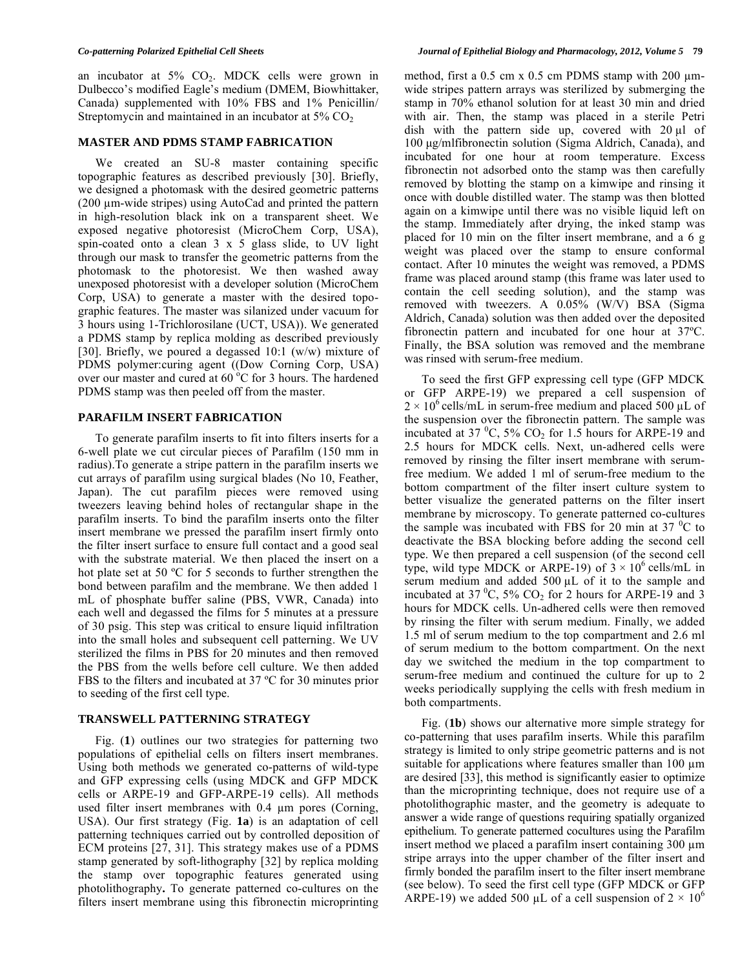an incubator at  $5\%$  CO<sub>2</sub>. MDCK cells were grown in Dulbecco's modified Eagle's medium (DMEM, Biowhittaker, Canada) supplemented with 10% FBS and 1% Penicillin/ Streptomycin and maintained in an incubator at  $5\%$  CO<sub>2</sub>

# **MASTER AND PDMS STAMP FABRICATION**

We created an SU-8 master containing specific topographic features as described previously [30]. Briefly, we designed a photomask with the desired geometric patterns  $(200 \mu m\text{-wide strips})$  using AutoCad and printed the pattern in high-resolution black ink on a transparent sheet. We exposed negative photoresist (MicroChem Corp, USA), spin-coated onto a clean 3 x 5 glass slide, to UV light through our mask to transfer the geometric patterns from the photomask to the photoresist. We then washed away unexposed photoresist with a developer solution (MicroChem Corp, USA) to generate a master with the desired topographic features. The master was silanized under vacuum for 3 hours using 1-Trichlorosilane (UCT, USA)). We generated a PDMS stamp by replica molding as described previously [30]. Briefly, we poured a degassed 10:1 (w/w) mixture of PDMS polymer:curing agent ((Dow Corning Corp, USA) over our master and cured at  $60^{\circ}$ C for 3 hours. The hardened PDMS stamp was then peeled off from the master.

# **PARAFILM INSERT FABRICATION**

 To generate parafilm inserts to fit into filters inserts for a 6-well plate we cut circular pieces of Parafilm (150 mm in radius).To generate a stripe pattern in the parafilm inserts we cut arrays of parafilm using surgical blades (No 10, Feather, Japan). The cut parafilm pieces were removed using tweezers leaving behind holes of rectangular shape in the parafilm inserts. To bind the parafilm inserts onto the filter insert membrane we pressed the parafilm insert firmly onto the filter insert surface to ensure full contact and a good seal with the substrate material. We then placed the insert on a hot plate set at 50 ºC for 5 seconds to further strengthen the bond between parafilm and the membrane. We then added 1 mL of phosphate buffer saline (PBS, VWR, Canada) into each well and degassed the films for 5 minutes at a pressure of 30 psig. This step was critical to ensure liquid infiltration into the small holes and subsequent cell patterning. We UV sterilized the films in PBS for 20 minutes and then removed the PBS from the wells before cell culture. We then added FBS to the filters and incubated at 37 ºC for 30 minutes prior to seeding of the first cell type.

# **TRANSWELL PATTERNING STRATEGY**

 Fig. (**1**) outlines our two strategies for patterning two populations of epithelial cells on filters insert membranes. Using both methods we generated co-patterns of wild-type and GFP expressing cells (using MDCK and GFP MDCK cells or ARPE-19 and GFP-ARPE-19 cells). All methods used filter insert membranes with  $0.4 \mu m$  pores (Corning, USA). Our first strategy (Fig. **1a**) is an adaptation of cell patterning techniques carried out by controlled deposition of ECM proteins [27, 31]. This strategy makes use of a PDMS stamp generated by soft-lithography [32] by replica molding the stamp over topographic features generated using photolithography**.** To generate patterned co-cultures on the filters insert membrane using this fibronectin microprinting

method, first a  $0.5$  cm x  $0.5$  cm PDMS stamp with  $200 \mu m$ wide stripes pattern arrays was sterilized by submerging the stamp in 70% ethanol solution for at least 30 min and dried with air. Then, the stamp was placed in a sterile Petri dish with the pattern side up, covered with  $20 \mu l$  of 100 μg/mlfibronectin solution (Sigma Aldrich, Canada), and incubated for one hour at room temperature. Excess fibronectin not adsorbed onto the stamp was then carefully removed by blotting the stamp on a kimwipe and rinsing it once with double distilled water. The stamp was then blotted again on a kimwipe until there was no visible liquid left on the stamp. Immediately after drying, the inked stamp was placed for 10 min on the filter insert membrane, and a 6 g weight was placed over the stamp to ensure conformal contact. After 10 minutes the weight was removed, a PDMS frame was placed around stamp (this frame was later used to contain the cell seeding solution), and the stamp was removed with tweezers. A 0.05% (W/V) BSA (Sigma Aldrich, Canada) solution was then added over the deposited fibronectin pattern and incubated for one hour at 37ºC. Finally, the BSA solution was removed and the membrane was rinsed with serum-free medium.

 To seed the first GFP expressing cell type (GFP MDCK or GFP ARPE-19) we prepared a cell suspension of  $2 \times 10^6$  cells/mL in serum-free medium and placed 500 µL of the suspension over the fibronectin pattern. The sample was incubated at 37  $\mathrm{^0C}$ , 5%  $\mathrm{CO}_2$  for 1.5 hours for ARPE-19 and 2.5 hours for MDCK cells. Next, un-adhered cells were removed by rinsing the filter insert membrane with serumfree medium. We added 1 ml of serum-free medium to the bottom compartment of the filter insert culture system to better visualize the generated patterns on the filter insert membrane by microscopy. To generate patterned co-cultures the sample was incubated with FBS for 20 min at 37 $\mathrm{^{0}C}$  to deactivate the BSA blocking before adding the second cell type. We then prepared a cell suspension (of the second cell type, wild type MDCK or ARPE-19) of  $3 \times 10^6$  cells/mL in serum medium and added 500  $\mu$ L of it to the sample and incubated at 37  $\mathrm{^0C}$ , 5%  $\mathrm{CO}_2$  for 2 hours for ARPE-19 and 3 hours for MDCK cells. Un-adhered cells were then removed by rinsing the filter with serum medium. Finally, we added 1.5 ml of serum medium to the top compartment and 2.6 ml of serum medium to the bottom compartment. On the next day we switched the medium in the top compartment to serum-free medium and continued the culture for up to 2 weeks periodically supplying the cells with fresh medium in both compartments.

 Fig. (**1b**) shows our alternative more simple strategy for co-patterning that uses parafilm inserts. While this parafilm strategy is limited to only stripe geometric patterns and is not suitable for applications where features smaller than  $100 \mu m$ are desired [33], this method is significantly easier to optimize than the microprinting technique, does not require use of a photolithographic master, and the geometry is adequate to answer a wide range of questions requiring spatially organized epithelium. To generate patterned cocultures using the Parafilm insert method we placed a parafilm insert containing  $300 \mu m$ stripe arrays into the upper chamber of the filter insert and firmly bonded the parafilm insert to the filter insert membrane (see below). To seed the first cell type (GFP MDCK or GFP ARPE-19) we added 500 µL of a cell suspension of  $2 \times 10^6$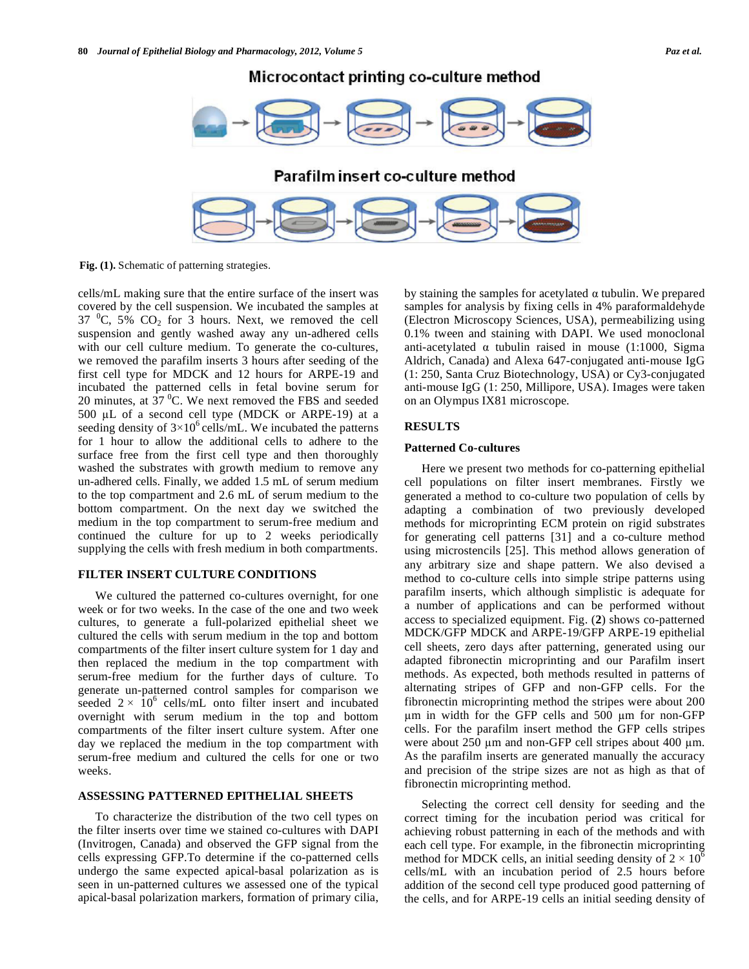Microcontact printing co-culture method



**Fig. (1).** Schematic of patterning strategies.

cells/mL making sure that the entire surface of the insert was covered by the cell suspension. We incubated the samples at 37  $^0C$ , 5%  $CO_2$  for 3 hours. Next, we removed the cell suspension and gently washed away any un-adhered cells with our cell culture medium. To generate the co-cultures, we removed the parafilm inserts 3 hours after seeding of the first cell type for MDCK and 12 hours for ARPE-19 and incubated the patterned cells in fetal bovine serum for 20 minutes, at  $37<sup>0</sup>C$ . We next removed the FBS and seeded  $500 \mu L$  of a second cell type (MDCK or ARPE-19) at a seeding density of  $3 \times 10^6$  cells/mL. We incubated the patterns for 1 hour to allow the additional cells to adhere to the surface free from the first cell type and then thoroughly washed the substrates with growth medium to remove any un-adhered cells. Finally, we added 1.5 mL of serum medium to the top compartment and 2.6 mL of serum medium to the bottom compartment. On the next day we switched the medium in the top compartment to serum-free medium and continued the culture for up to 2 weeks periodically supplying the cells with fresh medium in both compartments.

### **FILTER INSERT CULTURE CONDITIONS**

 We cultured the patterned co-cultures overnight, for one week or for two weeks. In the case of the one and two week cultures, to generate a full-polarized epithelial sheet we cultured the cells with serum medium in the top and bottom compartments of the filter insert culture system for 1 day and then replaced the medium in the top compartment with serum-free medium for the further days of culture. To generate un-patterned control samples for comparison we seeded  $2 \times 10^6$  cells/mL onto filter insert and incubated overnight with serum medium in the top and bottom compartments of the filter insert culture system. After one day we replaced the medium in the top compartment with serum-free medium and cultured the cells for one or two weeks.

# **ASSESSING PATTERNED EPITHELIAL SHEETS**

 To characterize the distribution of the two cell types on the filter inserts over time we stained co-cultures with DAPI (Invitrogen, Canada) and observed the GFP signal from the cells expressing GFP.To determine if the co-patterned cells undergo the same expected apical-basal polarization as is seen in un-patterned cultures we assessed one of the typical apical-basal polarization markers, formation of primary cilia,

by staining the samples for acetylated  $\alpha$  tubulin. We prepared samples for analysis by fixing cells in 4% paraformaldehyde (Electron Microscopy Sciences, USA), permeabilizing using 0.1% tween and staining with DAPI. We used monoclonal anti-acetylated  $\alpha$  tubulin raised in mouse (1:1000, Sigma Aldrich, Canada) and Alexa 647-conjugated anti-mouse IgG (1: 250, Santa Cruz Biotechnology, USA) or Cy3-conjugated anti-mouse IgG (1: 250, Millipore, USA). Images were taken on an Olympus IX81 microscope.

# **RESULTS**

#### **Patterned Co-cultures**

 Here we present two methods for co-patterning epithelial cell populations on filter insert membranes. Firstly we generated a method to co-culture two population of cells by adapting a combination of two previously developed methods for microprinting ECM protein on rigid substrates for generating cell patterns [31] and a co-culture method using microstencils [25]. This method allows generation of any arbitrary size and shape pattern. We also devised a method to co-culture cells into simple stripe patterns using parafilm inserts, which although simplistic is adequate for a number of applications and can be performed without access to specialized equipment. Fig. (**2**) shows co-patterned MDCK/GFP MDCK and ARPE-19/GFP ARPE-19 epithelial cell sheets, zero days after patterning, generated using our adapted fibronectin microprinting and our Parafilm insert methods. As expected, both methods resulted in patterns of alternating stripes of GFP and non-GFP cells. For the fibronectin microprinting method the stripes were about 200  $\mu$ m in width for the GFP cells and 500  $\mu$ m for non-GFP cells. For the parafilm insert method the GFP cells stripes were about  $250 \mu m$  and non-GFP cell stripes about  $400 \mu m$ . As the parafilm inserts are generated manually the accuracy and precision of the stripe sizes are not as high as that of fibronectin microprinting method.

 Selecting the correct cell density for seeding and the correct timing for the incubation period was critical for achieving robust patterning in each of the methods and with each cell type. For example, in the fibronectin microprinting method for MDCK cells, an initial seeding density of  $2 \times 10^6$ cells/mL with an incubation period of 2.5 hours before addition of the second cell type produced good patterning of the cells, and for ARPE-19 cells an initial seeding density of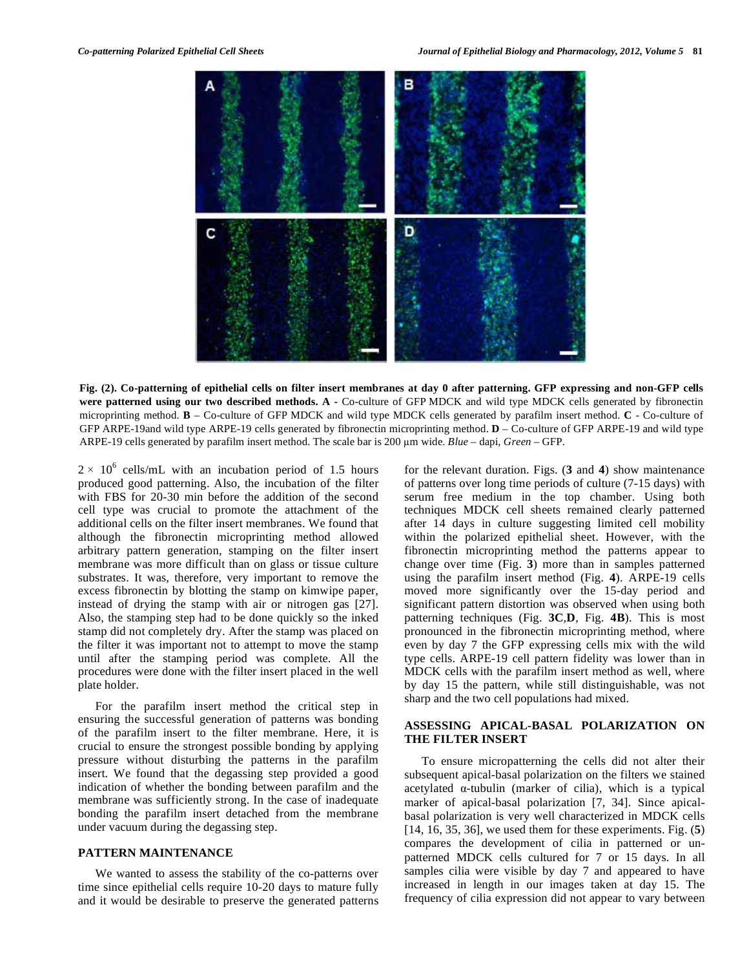

**Fig. (2). Co-patterning of epithelial cells on filter insert membranes at day 0 after patterning. GFP expressing and non-GFP cells were patterned using our two described methods. A -** Co-culture of GFP MDCK and wild type MDCK cells generated by fibronectin microprinting method. **B** – Co-culture of GFP MDCK and wild type MDCK cells generated by parafilm insert method. **C** - Co-culture of GFP ARPE-19and wild type ARPE-19 cells generated by fibronectin microprinting method. **D** – Co-culture of GFP ARPE-19 and wild type ARPE-19 cells generated by parafilm insert method. The scale bar is 200 m wide. *Blue* – dapi, *Green* – GFP.

 $2 \times 10^6$  cells/mL with an incubation period of 1.5 hours produced good patterning. Also, the incubation of the filter with FBS for 20-30 min before the addition of the second cell type was crucial to promote the attachment of the additional cells on the filter insert membranes. We found that although the fibronectin microprinting method allowed arbitrary pattern generation, stamping on the filter insert membrane was more difficult than on glass or tissue culture substrates. It was, therefore, very important to remove the excess fibronectin by blotting the stamp on kimwipe paper, instead of drying the stamp with air or nitrogen gas [27]. Also, the stamping step had to be done quickly so the inked stamp did not completely dry. After the stamp was placed on the filter it was important not to attempt to move the stamp until after the stamping period was complete. All the procedures were done with the filter insert placed in the well plate holder.

 For the parafilm insert method the critical step in ensuring the successful generation of patterns was bonding of the parafilm insert to the filter membrane. Here, it is crucial to ensure the strongest possible bonding by applying pressure without disturbing the patterns in the parafilm insert. We found that the degassing step provided a good indication of whether the bonding between parafilm and the membrane was sufficiently strong. In the case of inadequate bonding the parafilm insert detached from the membrane under vacuum during the degassing step.

# **PATTERN MAINTENANCE**

 We wanted to assess the stability of the co-patterns over time since epithelial cells require 10-20 days to mature fully and it would be desirable to preserve the generated patterns

for the relevant duration. Figs. (**3** and **4**) show maintenance of patterns over long time periods of culture (7-15 days) with serum free medium in the top chamber. Using both techniques MDCK cell sheets remained clearly patterned after 14 days in culture suggesting limited cell mobility within the polarized epithelial sheet. However, with the fibronectin microprinting method the patterns appear to change over time (Fig. **3**) more than in samples patterned using the parafilm insert method (Fig. **4**). ARPE-19 cells moved more significantly over the 15-day period and significant pattern distortion was observed when using both patterning techniques (Fig. **3C**,**D**, Fig. **4B**). This is most pronounced in the fibronectin microprinting method, where even by day 7 the GFP expressing cells mix with the wild type cells. ARPE-19 cell pattern fidelity was lower than in MDCK cells with the parafilm insert method as well, where by day 15 the pattern, while still distinguishable, was not sharp and the two cell populations had mixed.

# **ASSESSING APICAL-BASAL POLARIZATION ON THE FILTER INSERT**

 To ensure micropatterning the cells did not alter their subsequent apical-basal polarization on the filters we stained acetylated  $\alpha$ -tubulin (marker of cilia), which is a typical marker of apical-basal polarization [7, 34]. Since apicalbasal polarization is very well characterized in MDCK cells [14, 16, 35, 36], we used them for these experiments. Fig. (**5**) compares the development of cilia in patterned or unpatterned MDCK cells cultured for 7 or 15 days. In all samples cilia were visible by day 7 and appeared to have increased in length in our images taken at day 15. The frequency of cilia expression did not appear to vary between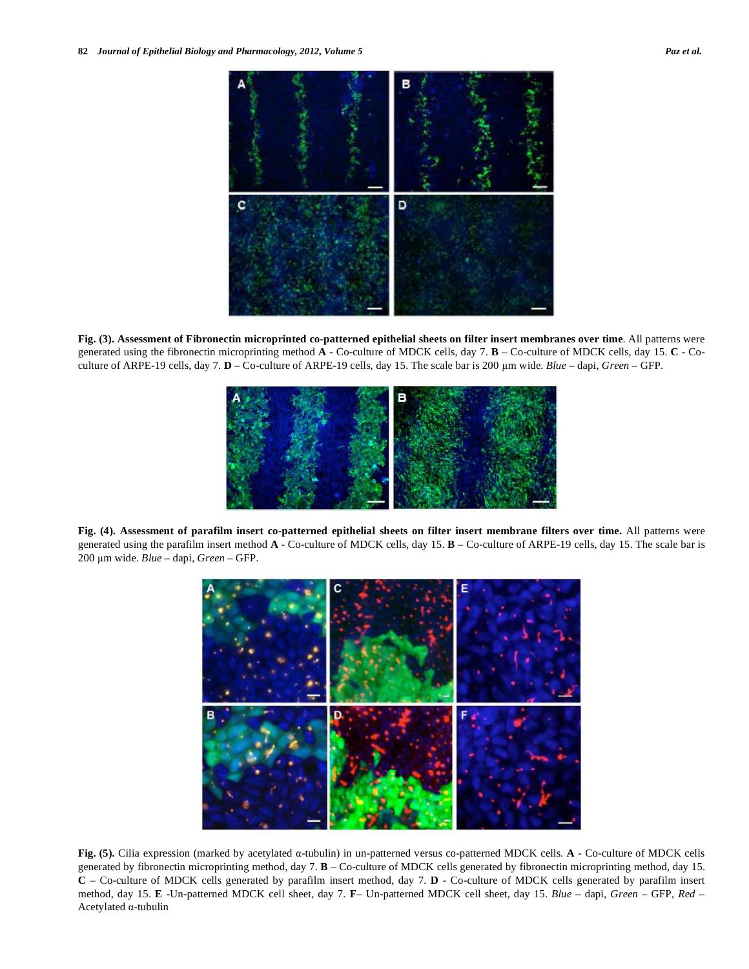

**Fig. (3). Assessment of Fibronectin microprinted co-patterned epithelial sheets on filter insert membranes over time**. All patterns were generated using the fibronectin microprinting method **A** - Co-culture of MDCK cells, day 7. **B** – Co-culture of MDCK cells, day 15. **C** - Coculture of ARPE-19 cells, day 7. **D** – Co-culture of ARPE-19 cells, day 15. The scale bar is 200 m wide. *Blue* – dapi, *Green* – GFP.



**Fig. (4). Assessment of parafilm insert co-patterned epithelial sheets on filter insert membrane filters over time.** All patterns were generated using the parafilm insert method **A** - Co-culture of MDCK cells, day 15. **B** – Co-culture of ARPE-19 cells, day 15. The scale bar is 200 m wide. *Blue* – dapi, *Green* – GFP.



**Fig. (5).** Cilia expression (marked by acetylated α-tubulin) in un-patterned versus co-patterned MDCK cells. **A** - Co-culture of MDCK cells generated by fibronectin microprinting method, day 7. **B** – Co-culture of MDCK cells generated by fibronectin microprinting method, day 15. **C** – Co-culture of MDCK cells generated by parafilm insert method, day 7. **D** - Co-culture of MDCK cells generated by parafilm insert method, day 15. **E** -Un-patterned MDCK cell sheet, day 7. **F**– Un-patterned MDCK cell sheet, day 15. *Blue* – dapi, *Green* – GFP, *Red* –  $A$ cetylated  $\alpha$ -tubulin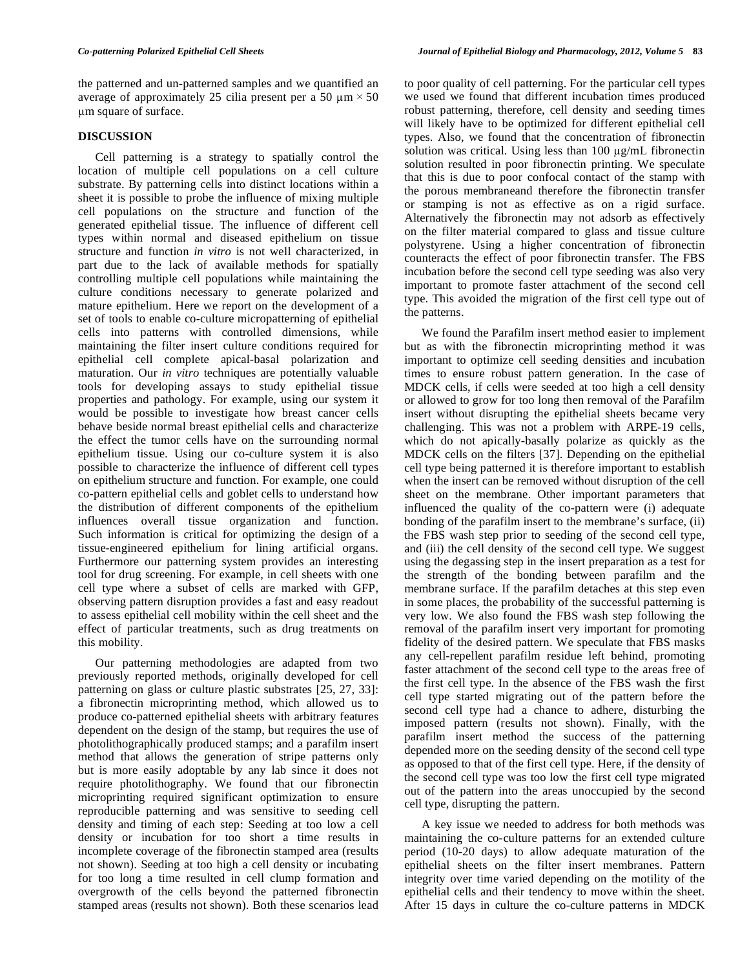the patterned and un-patterned samples and we quantified an average of approximately 25 cilia present per a 50  $\mu$ m  $\times$  50 m square of surface.

# **DISCUSSION**

 Cell patterning is a strategy to spatially control the location of multiple cell populations on a cell culture substrate. By patterning cells into distinct locations within a sheet it is possible to probe the influence of mixing multiple cell populations on the structure and function of the generated epithelial tissue. The influence of different cell types within normal and diseased epithelium on tissue structure and function *in vitro* is not well characterized, in part due to the lack of available methods for spatially controlling multiple cell populations while maintaining the culture conditions necessary to generate polarized and mature epithelium. Here we report on the development of a set of tools to enable co-culture micropatterning of epithelial cells into patterns with controlled dimensions, while maintaining the filter insert culture conditions required for epithelial cell complete apical-basal polarization and maturation. Our *in vitro* techniques are potentially valuable tools for developing assays to study epithelial tissue properties and pathology. For example, using our system it would be possible to investigate how breast cancer cells behave beside normal breast epithelial cells and characterize the effect the tumor cells have on the surrounding normal epithelium tissue. Using our co-culture system it is also possible to characterize the influence of different cell types on epithelium structure and function. For example, one could co-pattern epithelial cells and goblet cells to understand how the distribution of different components of the epithelium influences overall tissue organization and function. Such information is critical for optimizing the design of a tissue-engineered epithelium for lining artificial organs. Furthermore our patterning system provides an interesting tool for drug screening. For example, in cell sheets with one cell type where a subset of cells are marked with GFP, observing pattern disruption provides a fast and easy readout to assess epithelial cell mobility within the cell sheet and the effect of particular treatments, such as drug treatments on this mobility.

 Our patterning methodologies are adapted from two previously reported methods, originally developed for cell patterning on glass or culture plastic substrates [25, 27, 33]: a fibronectin microprinting method, which allowed us to produce co-patterned epithelial sheets with arbitrary features dependent on the design of the stamp, but requires the use of photolithographically produced stamps; and a parafilm insert method that allows the generation of stripe patterns only but is more easily adoptable by any lab since it does not require photolithography. We found that our fibronectin microprinting required significant optimization to ensure reproducible patterning and was sensitive to seeding cell density and timing of each step: Seeding at too low a cell density or incubation for too short a time results in incomplete coverage of the fibronectin stamped area (results not shown). Seeding at too high a cell density or incubating for too long a time resulted in cell clump formation and overgrowth of the cells beyond the patterned fibronectin stamped areas (results not shown). Both these scenarios lead

to poor quality of cell patterning. For the particular cell types we used we found that different incubation times produced robust patterning, therefore, cell density and seeding times will likely have to be optimized for different epithelial cell types. Also, we found that the concentration of fibronectin solution was critical. Using less than  $100 \mu g/mL$  fibronectin solution resulted in poor fibronectin printing. We speculate that this is due to poor confocal contact of the stamp with the porous membraneand therefore the fibronectin transfer or stamping is not as effective as on a rigid surface. Alternatively the fibronectin may not adsorb as effectively on the filter material compared to glass and tissue culture polystyrene. Using a higher concentration of fibronectin counteracts the effect of poor fibronectin transfer. The FBS incubation before the second cell type seeding was also very important to promote faster attachment of the second cell type. This avoided the migration of the first cell type out of the patterns.

 We found the Parafilm insert method easier to implement but as with the fibronectin microprinting method it was important to optimize cell seeding densities and incubation times to ensure robust pattern generation. In the case of MDCK cells, if cells were seeded at too high a cell density or allowed to grow for too long then removal of the Parafilm insert without disrupting the epithelial sheets became very challenging. This was not a problem with ARPE-19 cells, which do not apically-basally polarize as quickly as the MDCK cells on the filters [37]. Depending on the epithelial cell type being patterned it is therefore important to establish when the insert can be removed without disruption of the cell sheet on the membrane. Other important parameters that influenced the quality of the co-pattern were (i) adequate bonding of the parafilm insert to the membrane's surface, (ii) the FBS wash step prior to seeding of the second cell type, and (iii) the cell density of the second cell type. We suggest using the degassing step in the insert preparation as a test for the strength of the bonding between parafilm and the membrane surface. If the parafilm detaches at this step even in some places, the probability of the successful patterning is very low. We also found the FBS wash step following the removal of the parafilm insert very important for promoting fidelity of the desired pattern. We speculate that FBS masks any cell-repellent parafilm residue left behind, promoting faster attachment of the second cell type to the areas free of the first cell type. In the absence of the FBS wash the first cell type started migrating out of the pattern before the second cell type had a chance to adhere, disturbing the imposed pattern (results not shown). Finally, with the parafilm insert method the success of the patterning depended more on the seeding density of the second cell type as opposed to that of the first cell type. Here, if the density of the second cell type was too low the first cell type migrated out of the pattern into the areas unoccupied by the second cell type, disrupting the pattern.

 A key issue we needed to address for both methods was maintaining the co-culture patterns for an extended culture period (10-20 days) to allow adequate maturation of the epithelial sheets on the filter insert membranes. Pattern integrity over time varied depending on the motility of the epithelial cells and their tendency to move within the sheet. After 15 days in culture the co-culture patterns in MDCK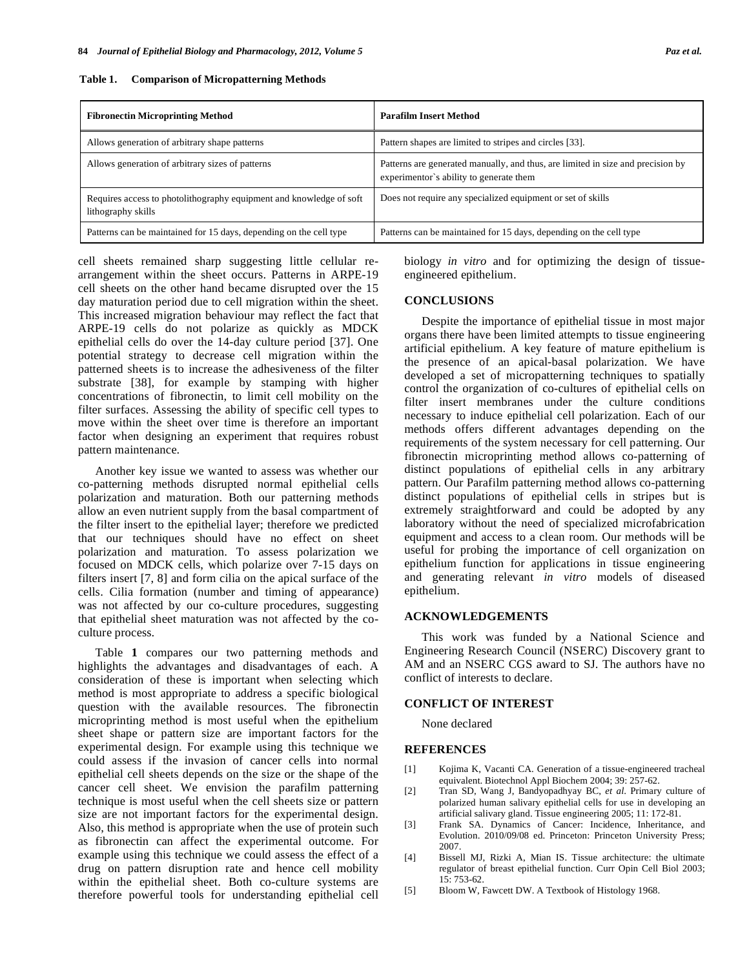| <b>Fibronectin Microprinting Method</b>                                                   | <b>Parafilm Insert Method</b>                                                                                              |
|-------------------------------------------------------------------------------------------|----------------------------------------------------------------------------------------------------------------------------|
| Allows generation of arbitrary shape patterns                                             | Pattern shapes are limited to stripes and circles [33].                                                                    |
| Allows generation of arbitrary sizes of patterns                                          | Patterns are generated manually, and thus, are limited in size and precision by<br>experimentor's ability to generate them |
| Requires access to photolithography equipment and knowledge of soft<br>lithography skills | Does not require any specialized equipment or set of skills                                                                |
| Patterns can be maintained for 15 days, depending on the cell type                        | Patterns can be maintained for 15 days, depending on the cell type                                                         |

cell sheets remained sharp suggesting little cellular rearrangement within the sheet occurs. Patterns in ARPE-19 cell sheets on the other hand became disrupted over the 15 day maturation period due to cell migration within the sheet. This increased migration behaviour may reflect the fact that ARPE-19 cells do not polarize as quickly as MDCK epithelial cells do over the 14-day culture period [37]. One potential strategy to decrease cell migration within the patterned sheets is to increase the adhesiveness of the filter substrate [38], for example by stamping with higher concentrations of fibronectin, to limit cell mobility on the filter surfaces. Assessing the ability of specific cell types to move within the sheet over time is therefore an important factor when designing an experiment that requires robust pattern maintenance.

 Another key issue we wanted to assess was whether our co-patterning methods disrupted normal epithelial cells polarization and maturation. Both our patterning methods allow an even nutrient supply from the basal compartment of the filter insert to the epithelial layer; therefore we predicted that our techniques should have no effect on sheet polarization and maturation. To assess polarization we focused on MDCK cells, which polarize over 7-15 days on filters insert [7, 8] and form cilia on the apical surface of the cells. Cilia formation (number and timing of appearance) was not affected by our co-culture procedures, suggesting that epithelial sheet maturation was not affected by the coculture process.

 Table **1** compares our two patterning methods and highlights the advantages and disadvantages of each. A consideration of these is important when selecting which method is most appropriate to address a specific biological question with the available resources. The fibronectin microprinting method is most useful when the epithelium sheet shape or pattern size are important factors for the experimental design. For example using this technique we could assess if the invasion of cancer cells into normal epithelial cell sheets depends on the size or the shape of the cancer cell sheet. We envision the parafilm patterning technique is most useful when the cell sheets size or pattern size are not important factors for the experimental design. Also, this method is appropriate when the use of protein such as fibronectin can affect the experimental outcome. For example using this technique we could assess the effect of a drug on pattern disruption rate and hence cell mobility within the epithelial sheet. Both co-culture systems are therefore powerful tools for understanding epithelial cell

biology *in vitro* and for optimizing the design of tissueengineered epithelium.

### **CONCLUSIONS**

 Despite the importance of epithelial tissue in most major organs there have been limited attempts to tissue engineering artificial epithelium. A key feature of mature epithelium is the presence of an apical-basal polarization. We have developed a set of micropatterning techniques to spatially control the organization of co-cultures of epithelial cells on filter insert membranes under the culture conditions necessary to induce epithelial cell polarization. Each of our methods offers different advantages depending on the requirements of the system necessary for cell patterning. Our fibronectin microprinting method allows co-patterning of distinct populations of epithelial cells in any arbitrary pattern. Our Parafilm patterning method allows co-patterning distinct populations of epithelial cells in stripes but is extremely straightforward and could be adopted by any laboratory without the need of specialized microfabrication equipment and access to a clean room. Our methods will be useful for probing the importance of cell organization on epithelium function for applications in tissue engineering and generating relevant *in vitro* models of diseased epithelium.

# **ACKNOWLEDGEMENTS**

 This work was funded by a National Science and Engineering Research Council (NSERC) Discovery grant to AM and an NSERC CGS award to SJ. The authors have no conflict of interests to declare.

#### **CONFLICT OF INTEREST**

None declared

#### **REFERENCES**

- [1] Kojima K, Vacanti CA. Generation of a tissue-engineered tracheal equivalent. Biotechnol Appl Biochem 2004; 39: 257-62.
- [2] Tran SD, Wang J, Bandyopadhyay BC, *et al*. Primary culture of polarized human salivary epithelial cells for use in developing an artificial salivary gland. Tissue engineering 2005; 11: 172-81.
- [3] Frank SA. Dynamics of Cancer: Incidence, Inheritance, and Evolution. 2010/09/08 ed. Princeton: Princeton University Press; 2007.
- [4] Bissell MJ, Rizki A, Mian IS. Tissue architecture: the ultimate regulator of breast epithelial function. Curr Opin Cell Biol 2003;  $15: 753-62.$
- [5] Bloom W, Fawcett DW. A Textbook of Histology 1968.